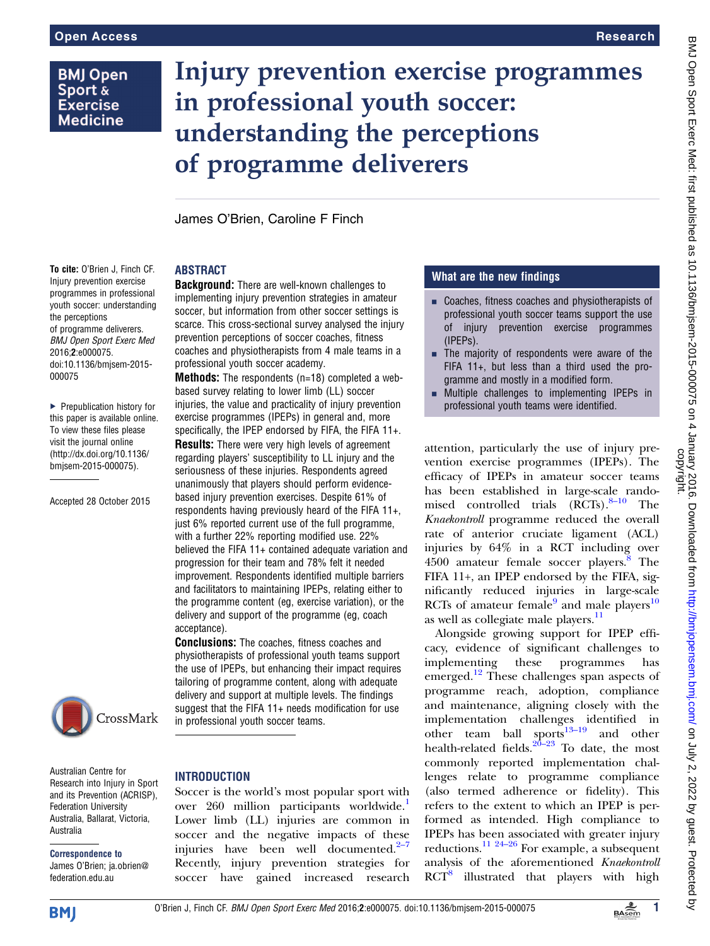### **BMJ Open** Sport & **Exercise Medicine**

To cite: O'Brien J, Finch CF. Injury prevention exercise programmes in professional youth soccer: understanding

▸ Prepublication history for this paper is available online. To view these files please visit the journal online [\(http://dx.doi.org/10.1136/](http://dx.doi.org/10.1136/bmjsem-2015-000075) [bmjsem-2015-000075\)](http://dx.doi.org/10.1136/bmjsem-2015-000075).

Accepted 28 October 2015

the perceptions of programme deliverers. BMJ Open Sport Exerc Med

2016;2:e000075. doi:10.1136/bmjsem-2015-

000075

# Injury prevention exercise programmes in professional youth soccer: understanding the perceptions of programme deliverers

James O'Brien, Caroline F Finch

#### ABSTRACT

**Background:** There are well-known challenges to implementing injury prevention strategies in amateur soccer, but information from other soccer settings is scarce. This cross-sectional survey analysed the injury prevention perceptions of soccer coaches, fitness coaches and physiotherapists from 4 male teams in a professional youth soccer academy.

**Methods:** The respondents (n=18) completed a webbased survey relating to lower limb (LL) soccer injuries, the value and practicality of injury prevention exercise programmes (IPEPs) in general and, more specifically, the IPEP endorsed by FIFA, the FIFA 11+. **Results:** There were very high levels of agreement regarding players' susceptibility to LL injury and the seriousness of these injuries. Respondents agreed unanimously that players should perform evidencebased injury prevention exercises. Despite 61% of respondents having previously heard of the FIFA 11+, just 6% reported current use of the full programme, with a further 22% reporting modified use. 22% believed the FIFA 11+ contained adequate variation and progression for their team and 78% felt it needed improvement. Respondents identified multiple barriers and facilitators to maintaining IPEPs, relating either to the programme content (eg, exercise variation), or the delivery and support of the programme (eg, coach acceptance).

Conclusions: The coaches, fitness coaches and physiotherapists of professional youth teams support the use of IPEPs, but enhancing their impact requires tailoring of programme content, along with adequate delivery and support at multiple levels. The findings suggest that the FIFA  $11+$  needs modification for use in professional youth soccer teams.

Australian Centre for Research into Injury in Sport and its Prevention (ACRISP), Federation University Australia, Ballarat, Victoria, Australia

CrossMark

Correspondence to James O'Brien; ja.obrien@ federation.edu.au

#### **INTRODUCTION**

Soccer is the world's most popular sport with over 260 million participants worldwide. Lower limb (LL) injuries are common in soccer and the negative impacts of th[ese](#page-7-0) injuries have been well documented. $2^{-7}$ Recently, injury prevention strategies for soccer have gained increased research

#### What are the new findings

- Coaches, fitness coaches and physiotherapists of professional youth soccer teams support the use of injury prevention exercise programmes (IPEPs).
- $\blacksquare$  The majority of respondents were aware of the FIFA 11+, but less than a third used the programme and mostly in a modified form.
- Multiple challenges to implementing IPEPs in professional youth teams were identified.

attention, particularly the use of injury prevention exercise programmes (IPEPs). The efficacy of IPEPs in amateur soccer teams has been established in large-scale randomised controlled trials  $(RCTs)$ .<sup>8–[10](#page-7-0)</sup> The Knaekontroll programme reduced the overall rate of anterior cruciate ligament (ACL) injuries by 64% in a RCT including over 4500 amateur female soccer players.<sup>[8](#page-7-0)</sup> The FIFA 11+, an IPEP endorsed by the FIFA, significantly reduced injuries in large-scale RCTs of amateur female $9$  and male players<sup>[10](#page-7-0)</sup> as well as collegiate male players. $\frac{11}{11}$  $\frac{11}{11}$  $\frac{11}{11}$ 

Alongside growing support for IPEP efficacy, evidence of significant challenges to implementing these programmes has emerged.<sup>[12](#page-7-0)</sup> These challenges span aspects of programme reach, adoption, compliance and maintenance, aligning closely with the implementation challeng[es i](#page-7-0)dentified in other team ball sports $13-19$  and other health-related fields. $20-23$  $20-23$  To date, the most commonly reported implementation challenges relate to programme compliance (also termed adherence or fidelity). This refers to the extent to which an IPEP is performed as intended. High compliance to IPEPs has been associated with greater injury reductions.<sup>[11 24](#page-7-0)–26</sup> For example, a subsequent analysis of the aforementioned Knaekontroll  $RCT<sup>8</sup>$  $RCT<sup>8</sup>$  $RCT<sup>8</sup>$  illustrated that players with high

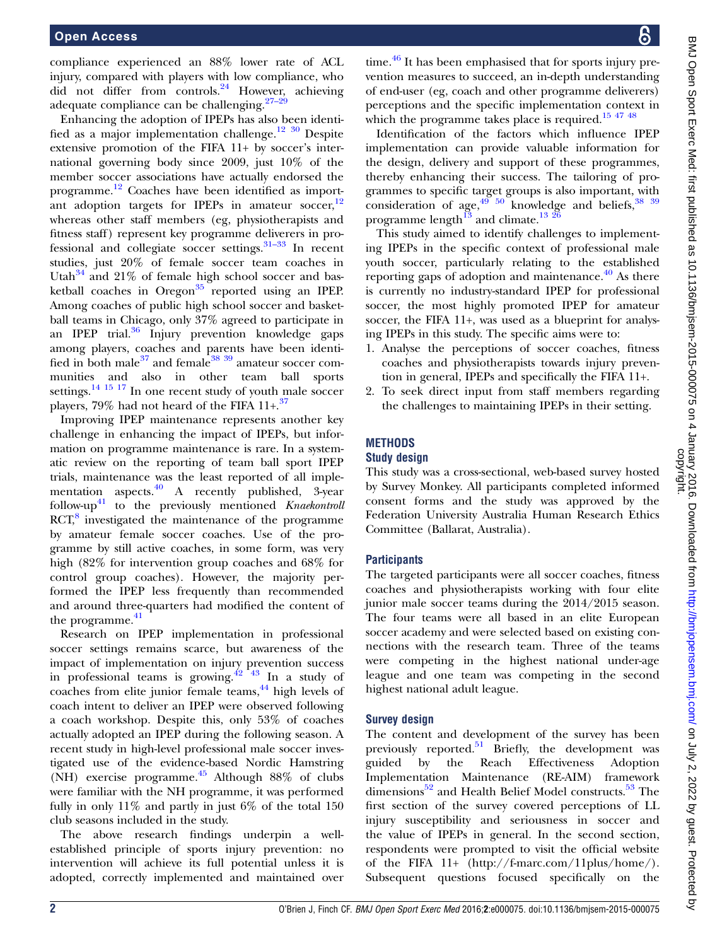compliance experienced an 88% lower rate of ACL injury, compared with players with low compliance, who did not differ from controls.<sup>[24](#page-7-0)</sup> However, achieving adequate compliance can be challenging.<sup>[27](#page-8-0)–29</sup>

Enhancing the adoption of IPEPs has also been identi-fied as a major implementation challenge.<sup>12 [30](#page-8-0)</sup> Despite extensive promotion of the FIFA 11+ by soccer's international governing body since 2009, just 10% of the member soccer associations have actually endorsed the programme. $\frac{12}{12}$  Coaches have been identified as important adoption targets for IPEPs in amateur soccer, $12$ whereas other staff members (eg, physiotherapists and fitness staff) represent key programme deliverers in professional and collegiate soccer settings. $31-33$  $31-33$  In recent studies, just 20% of female soccer team coaches in Utah $34$  and 21% of female high school soccer and basketball coaches in Oregon $35$  reported using an IPEP. Among coaches of public high school soccer and basketball teams in Chicago, only 37% agreed to participate in an IPEP trial.<sup>[36](#page-8-0)</sup> Injury prevention knowledge gaps among players, coaches and parents have been identified in both male $37$  and female $38$   $39$  amateur soccer communities and also in other team ball sports settings.<sup>[14 15 17](#page-7-0)</sup> In one recent study of youth male soccer players, 79% had not heard of the FIFA  $11^{37}$  $11^{37}$  $11^{37}$ 

Improving IPEP maintenance represents another key challenge in enhancing the impact of IPEPs, but information on programme maintenance is rare. In a systematic review on the reporting of team ball sport IPEP trials, maintenance was the least reported of all implementation aspects.<sup>40</sup> A recently published, 3-year follow-up $^{41}$  $^{41}$  $^{41}$  to the previously mentioned Knaekontroll RCT<sup>[8](#page-7-0)</sup> investigated the maintenance of the programme by amateur female soccer coaches. Use of the programme by still active coaches, in some form, was very high (82% for intervention group coaches and 68% for control group coaches). However, the majority performed the IPEP less frequently than recommended and around three-quarters had modified the content of the programme. $^{41}$ 

Research on IPEP implementation in professional soccer settings remains scarce, but awareness of the impact of implementation on injury prevention success in professional teams is growing. $42^{-43}$  In a study of coaches from elite junior female teams,<sup>[44](#page-8-0)</sup> high levels of coach intent to deliver an IPEP were observed following a coach workshop. Despite this, only 53% of coaches actually adopted an IPEP during the following season. A recent study in high-level professional male soccer investigated use of the evidence-based Nordic Hamstring (NH) exercise programme. $45$  Although 88% of clubs were familiar with the NH programme, it was performed fully in only 11% and partly in just 6% of the total 150 club seasons included in the study.

The above research findings underpin a wellestablished principle of sports injury prevention: no intervention will achieve its full potential unless it is adopted, correctly implemented and maintained over

time.<sup>[46](#page-8-0)</sup> It has been emphasised that for sports injury prevention measures to succeed, an in-depth understanding of end-user (eg, coach and other programme deliverers) perceptions and the specific implementation context in which the programme takes place is required.<sup>[15](#page-7-0) [47 48](#page-8-0)</sup>

Identification of the factors which influence IPEP implementation can provide valuable information for the design, delivery and support of these programmes, thereby enhancing their success. The tailoring of programmes to specific target groups is also important, with consideration of age, $49\frac{50}{2}$  knowledge and beliefs, $38\frac{39}{2}$ programme length<sup>[13](#page-7-0)</sup> and climate.<sup>13 [26](#page-8-0)</sup>

This study aimed to identify challenges to implementing IPEPs in the specific context of professional male youth soccer, particularly relating to the established reporting gaps of adoption and maintenance.  $40$  As there is currently no industry-standard IPEP for professional soccer, the most highly promoted IPEP for amateur soccer, the FIFA 11+, was used as a blueprint for analysing IPEPs in this study. The specific aims were to:

- 1. Analyse the perceptions of soccer coaches, fitness coaches and physiotherapists towards injury prevention in general, IPEPs and specifically the FIFA 11+.
- 2. To seek direct input from staff members regarding the challenges to maintaining IPEPs in their setting.

#### **METHODS**

#### Study design

This study was a cross-sectional, web-based survey hosted by Survey Monkey. All participants completed informed consent forms and the study was approved by the Federation University Australia Human Research Ethics Committee (Ballarat, Australia).

#### **Participants**

The targeted participants were all soccer coaches, fitness coaches and physiotherapists working with four elite junior male soccer teams during the 2014/2015 season. The four teams were all based in an elite European soccer academy and were selected based on existing connections with the research team. Three of the teams were competing in the highest national under-age league and one team was competing in the second highest national adult league.

#### Survey design

The content and development of the survey has been previously reported.<sup>[51](#page-8-0)</sup> Briefly, the development was guided by the Reach Effectiveness Adoption Implementation Maintenance (RE-AIM) framework dimensions<sup>[52](#page-8-0)</sup> and Health Belief Model constructs.<sup>53</sup> The first section of the survey covered perceptions of LL injury susceptibility and seriousness in soccer and the value of IPEPs in general. In the second section, respondents were prompted to visit the official website of the FIFA 11+ [\(http://f-marc.com/11plus/home/\)](http://f-marc.com/11plus/home/). Subsequent questions focused specifically on the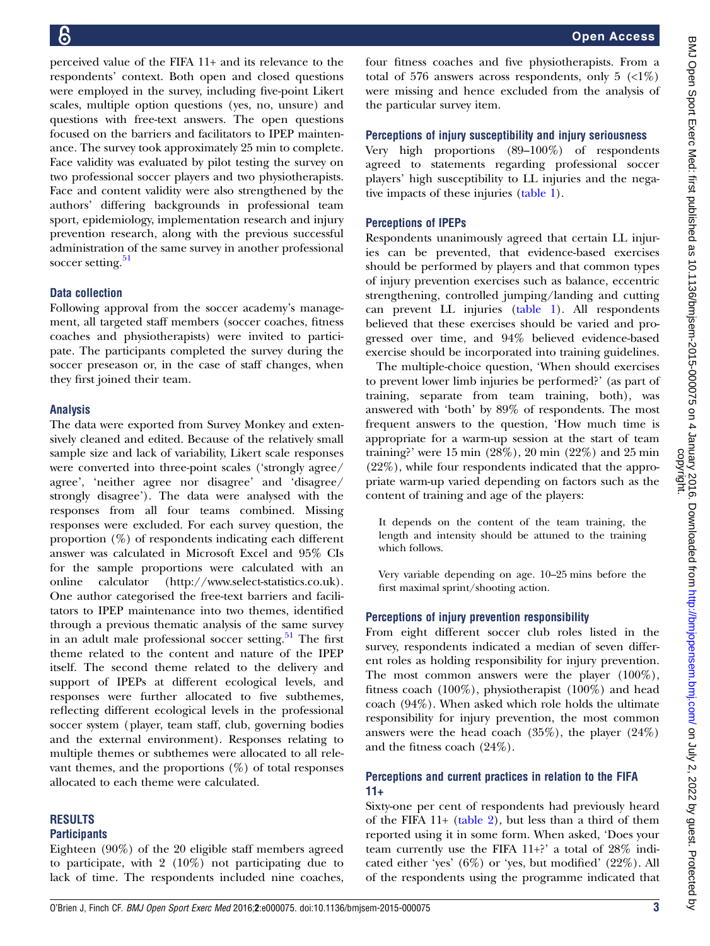perceived value of the FIFA 11+ and its relevance to the respondents' context. Both open and closed questions were employed in the survey, including five-point Likert scales, multiple option questions (yes, no, unsure) and questions with free-text answers. The open questions focused on the barriers and facilitators to IPEP maintenance. The survey took approximately 25 min to complete. Face validity was evaluated by pilot testing the survey on two professional soccer players and two physiotherapists. Face and content validity were also strengthened by the authors' differing backgrounds in professional team sport, epidemiology, implementation research and injury prevention research, along with the previous successful administration of the same survey in another professional soccer setting. $51$ 

#### Data collection

Following approval from the soccer academy's management, all targeted staff members (soccer coaches, fitness coaches and physiotherapists) were invited to participate. The participants completed the survey during the soccer preseason or, in the case of staff changes, when they first joined their team.

#### Analysis

The data were exported from Survey Monkey and extensively cleaned and edited. Because of the relatively small sample size and lack of variability, Likert scale responses were converted into three-point scales ('strongly agree/ agree', 'neither agree nor disagree' and 'disagree/ strongly disagree'). The data were analysed with the responses from all four teams combined. Missing responses were excluded. For each survey question, the proportion (%) of respondents indicating each different answer was calculated in Microsoft Excel and 95% CIs for the sample proportions were calculated with an online calculator [\(http://www.select-statistics.co.uk\)](http://www.select-statistics.co.uk). One author categorised the free-text barriers and facilitators to IPEP maintenance into two themes, identified through a previous thematic analysis of the same survey in an adult male professional soccer setting.<sup>[51](#page-8-0)</sup> The first theme related to the content and nature of the IPEP itself. The second theme related to the delivery and support of IPEPs at different ecological levels, and responses were further allocated to five subthemes, reflecting different ecological levels in the professional soccer system (player, team staff, club, governing bodies and the external environment). Responses relating to multiple themes or subthemes were allocated to all relevant themes, and the proportions  $(\%)$  of total responses allocated to each theme were calculated.

#### RESULTS **Participants**

Eighteen (90%) of the 20 eligible staff members agreed to participate, with 2 (10%) not participating due to lack of time. The respondents included nine coaches,

four fitness coaches and five physiotherapists. From a total of 576 answers across respondents, only 5  $\langle 1\% \rangle$ were missing and hence excluded from the analysis of the particular survey item.

#### Perceptions of injury susceptibility and injury seriousness

Very high proportions (89–100%) of respondents agreed to statements regarding professional soccer players' high susceptibility to LL injuries and the negative impacts of these injuries [\(table 1\)](#page-3-0).

#### Perceptions of IPEPs

Respondents unanimously agreed that certain LL injuries can be prevented, that evidence-based exercises should be performed by players and that common types of injury prevention exercises such as balance, eccentric strengthening, controlled jumping/landing and cutting can prevent LL injuries [\(table 1\)](#page-3-0). All respondents believed that these exercises should be varied and progressed over time, and 94% believed evidence-based exercise should be incorporated into training guidelines.

The multiple-choice question, 'When should exercises to prevent lower limb injuries be performed?' (as part of training, separate from team training, both), was answered with 'both' by 89% of respondents. The most frequent answers to the question, 'How much time is appropriate for a warm-up session at the start of team training?' were 15 min (28%), 20 min (22%) and 25 min (22%), while four respondents indicated that the appropriate warm-up varied depending on factors such as the content of training and age of the players:

It depends on the content of the team training, the length and intensity should be attuned to the training which follows.

Very variable depending on age. 10–25 mins before the first maximal sprint/shooting action.

#### Perceptions of injury prevention responsibility

From eight different soccer club roles listed in the survey, respondents indicated a median of seven different roles as holding responsibility for injury prevention. The most common answers were the player (100%), fitness coach (100%), physiotherapist (100%) and head coach (94%). When asked which role holds the ultimate responsibility for injury prevention, the most common answers were the head coach (35%), the player (24%) and the fitness coach (24%).

#### Perceptions and current practices in relation to the FIFA 11+

Sixty-one per cent of respondents had previously heard of the FIFA 11+ [\(table 2](#page-4-0)), but less than a third of them reported using it in some form. When asked, 'Does your team currently use the FIFA 11+?' a total of 28% indicated either 'yes' (6%) or 'yes, but modified' (22%). All of the respondents using the programme indicated that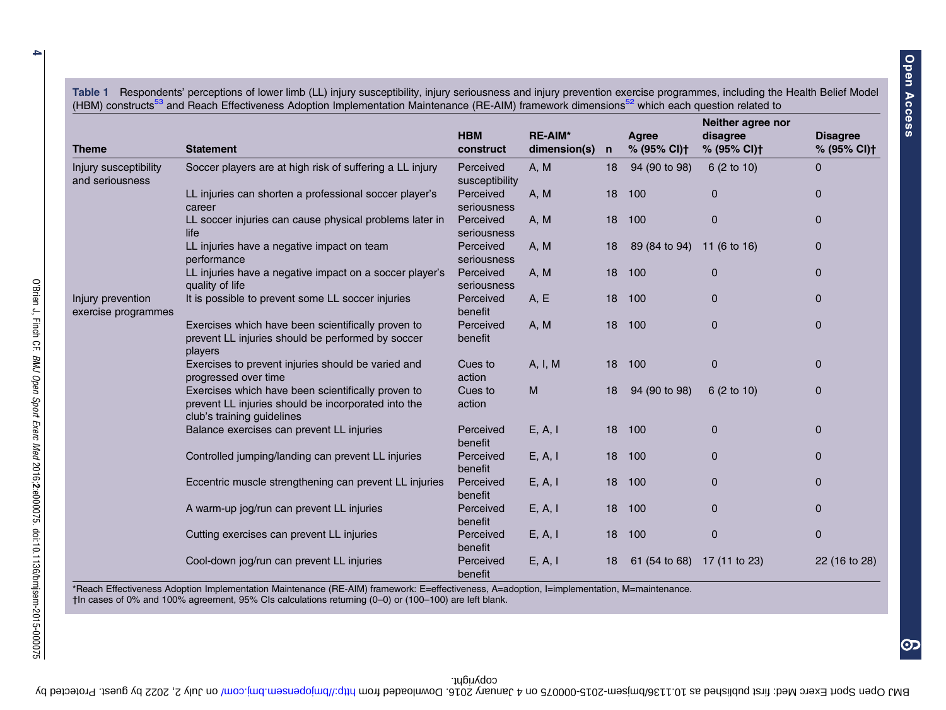| <b>Theme</b>                             | <b>Statement</b>                                                                                                                        | <b>HBM</b><br>construct     | <b>RE-AIM*</b><br>dimension(s) | $\mathsf{n}$ | Agree<br>% (95% CI) <sup>+</sup> | Neither agree nor<br>disagree<br>% (95% CI) <sup>+</sup> | <b>Disagree</b><br>% (95% CI) <sup>+</sup> |
|------------------------------------------|-----------------------------------------------------------------------------------------------------------------------------------------|-----------------------------|--------------------------------|--------------|----------------------------------|----------------------------------------------------------|--------------------------------------------|
| Injury susceptibility<br>and seriousness | Soccer players are at high risk of suffering a LL injury                                                                                | Perceived<br>susceptibility | A, M                           | 18           | 94 (90 to 98)                    | 6 (2 to 10)                                              | $\mathbf 0$                                |
|                                          | LL injuries can shorten a professional soccer player's<br>career                                                                        | Perceived<br>seriousness    | A, M                           | 18           | 100                              | $\pmb{0}$                                                | $\mathbf{0}$                               |
|                                          | LL soccer injuries can cause physical problems later in<br>life                                                                         | Perceived<br>seriousness    | A, M                           | 18           | 100                              | $\mathbf 0$                                              | $\mathbf{0}$                               |
|                                          | LL injuries have a negative impact on team<br>performance                                                                               | Perceived<br>seriousness    | A, M                           | 18           | 89 (84 to 94)                    | 11 (6 to 16)                                             | $\mathbf 0$                                |
|                                          | LL injuries have a negative impact on a soccer player's<br>quality of life                                                              | Perceived<br>seriousness    | A, M                           | 18           | 100                              | $\mathbf 0$                                              | $\mathbf{0}$                               |
| Injury prevention<br>exercise programmes | It is possible to prevent some LL soccer injuries                                                                                       | Perceived<br>benefit        | A, E                           | 18           | 100                              | $\mathbf 0$                                              | $\mathbf 0$                                |
|                                          | Exercises which have been scientifically proven to<br>prevent LL injuries should be performed by soccer<br>players                      | Perceived<br>benefit        | A, M                           | 18           | 100                              | $\mathbf 0$                                              | $\mathbf 0$                                |
|                                          | Exercises to prevent injuries should be varied and<br>progressed over time                                                              | Cues to<br>action           | A, I, M                        | 18           | 100                              | $\mathbf 0$                                              | $\mathbf 0$                                |
|                                          | Exercises which have been scientifically proven to<br>prevent LL injuries should be incorporated into the<br>club's training guidelines | Cues to<br>action           | M                              | 18           | 94 (90 to 98)                    | 6 (2 to 10)                                              | $\mathbf 0$                                |
|                                          | Balance exercises can prevent LL injuries                                                                                               | Perceived<br>benefit        | E, A, I                        | 18           | 100                              | $\mathbf 0$                                              | $\mathbf 0$                                |
|                                          | Controlled jumping/landing can prevent LL injuries                                                                                      | Perceived<br>benefit        | E, A, I                        | 18           | 100                              | $\mathbf 0$                                              | $\mathbf 0$                                |
|                                          | Eccentric muscle strengthening can prevent LL injuries                                                                                  | Perceived<br>benefit        | E, A, I                        | 18           | 100                              | $\mathbf 0$                                              | $\mathbf 0$                                |
|                                          | A warm-up jog/run can prevent LL injuries                                                                                               | Perceived<br>benefit        | E, A, I                        | 18           | 100                              | $\mathbf 0$                                              | $\mathbf 0$                                |
|                                          | Cutting exercises can prevent LL injuries                                                                                               | Perceived<br>benefit        | E, A, I                        | 18           | 100                              | $\pmb{0}$                                                | $\mathbf 0$                                |
|                                          | Cool-down jog/run can prevent LL injuries                                                                                               | Perceived<br>benefit        | E, A, I                        | 18           |                                  | 61 (54 to 68) 17 (11 to 23)                              | 22 (16 to 28)                              |

<span id="page-3-0"></span>Table 1 Respondents' perceptions of lower limb (LL) injury susceptibility, injury seriousness and injury prevention exercise programmes, including the Health Belief Model (HBM) constructs<sup>[53](#page-8-0)</sup> and Reach Effectiveness Adoption Implementation Maintenance (RE-AIM) framework dimensions<sup>[52](#page-8-0)</sup> which each question related to

\*Reach Effectiveness Adoption Implementation Maintenance (RE-AIM) framework: E=effectiveness, A=adoption, I=implementation, M=maintenance. †In cases of 0% and 100% agreement, 95% CIs calculations returning (0–0) or (100–100) are left blank.

OP

Open Access

Open Access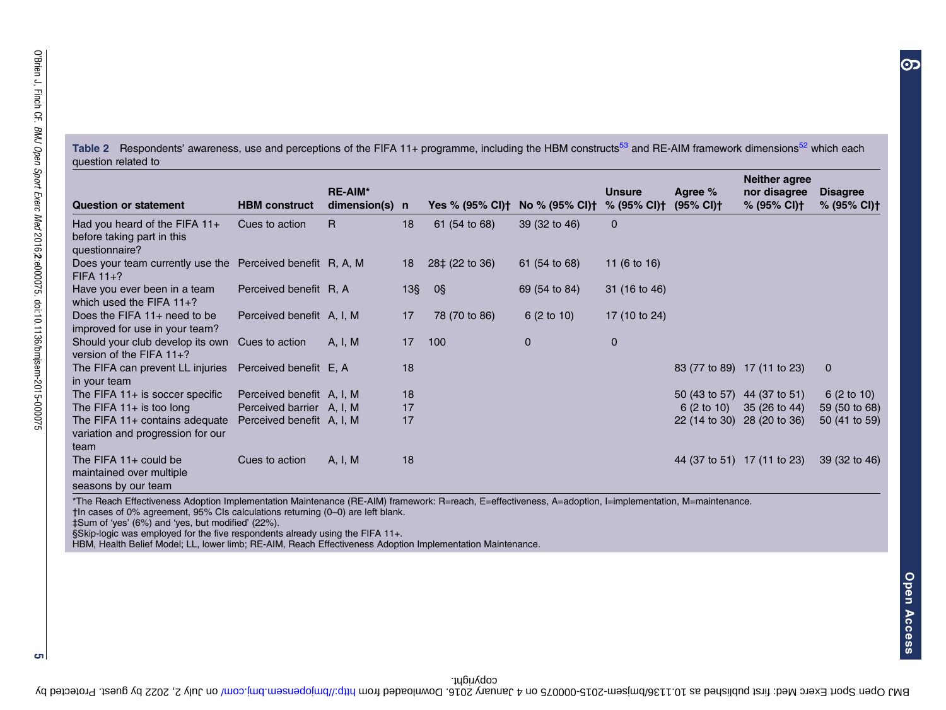<span id="page-4-0"></span>Table 2 Respondents' awareness, use and perceptions of the FIFA 11+ programme, including the HBM constructs<sup>[53](#page-8-0)</sup> and RE-AIM framework dimensions<sup>[52](#page-8-0)</sup> which each question related to

|                                                                                 |                           |                                  |                 |                                 |                                |                              |                                | <b>Neither agree</b>                  |                                                 |
|---------------------------------------------------------------------------------|---------------------------|----------------------------------|-----------------|---------------------------------|--------------------------------|------------------------------|--------------------------------|---------------------------------------|-------------------------------------------------|
| <b>Question or statement</b>                                                    | <b>HBM</b> construct      | <b>RE-AIM*</b><br>dimension(s) n |                 |                                 | Yes % (95% CI)† No % (95% CI)† | <b>Unsure</b><br>% (95% CI)† | Agree %<br>$(95\% \text{ Cl})$ | nor disagree<br>$% (95\% \text{ Cl})$ | <b>Disagree</b><br>$% (95\% \text{ Cl})\dagger$ |
| Had you heard of the FIFA $11+$<br>before taking part in this<br>questionnaire? | Cues to action            | R                                | 18              | 61 (54 to 68)                   | 39 (32 to 46)                  | $\mathbf{0}$                 |                                |                                       |                                                 |
| Does your team currently use the Perceived benefit R, A, M<br>$FIFA 11+?$       |                           |                                  | 18              | $28\ddagger(22 \text{ to } 36)$ | 61 (54 to 68)                  | 11 (6 to 16)                 |                                |                                       |                                                 |
| Have you ever been in a team<br>which used the FIFA $11+?$                      | Perceived benefit R, A    |                                  | 13 <sub>§</sub> | - O§                            | 69 (54 to 84)                  | 31 (16 to 46)                |                                |                                       |                                                 |
| Does the FIFA 11+ need to be<br>improved for use in your team?                  | Perceived benefit A, I, M |                                  | 17              | 78 (70 to 86)                   | 6 $(2 \text{ to } 10)$         | 17 (10 to 24)                |                                |                                       |                                                 |
| Should your club develop its own<br>version of the FIFA $11+?$                  | Cues to action            | A, I, M                          | 17              | 100                             | $\mathbf{0}$                   | 0                            |                                |                                       |                                                 |
| The FIFA can prevent LL injuries<br>in your team                                | Perceived benefit E, A    |                                  | 18              |                                 |                                |                              |                                | 83 (77 to 89) 17 (11 to 23)           | $\mathbf 0$                                     |
| The FIFA $11+$ is soccer specific                                               | Perceived benefit A, I, M |                                  | 18              |                                 |                                |                              |                                | 50 (43 to 57) 44 (37 to 51)           | 6 $(2 \text{ to } 10)$                          |
| The FIFA $11+$ is too long                                                      | Perceived barrier A, I, M |                                  | 17              |                                 |                                |                              | 6 $(2 \text{ to } 10)$         | $35(26 \text{ to } 44)$               | 59 (50 to 68)                                   |
| The FIFA $11+$ contains adequate<br>variation and progression for our<br>team   | Perceived benefit A, I, M |                                  | 17              |                                 |                                |                              |                                | 22 (14 to 30) 28 (20 to 36)           | 50 (41 to 59)                                   |
| The FIFA $11+$ could be<br>maintained over multiple<br>seasons by our team      | Cues to action            | A, I, M                          | 18              |                                 |                                |                              |                                | 44 (37 to 51) 17 (11 to 23)           | 39 (32 to 46)                                   |

\*The Reach Effectiveness Adoption Implementation Maintenance (RE-AIM) framework: R=reach, E=effectiveness, A=adoption, I=implementation, M=maintenance.

†In cases of 0% agreement, 95% CIs calculations returning (0–0) are left blank.

‡Sum of 'yes' (6%) and 'yes, but modified' (22%).

§Skip-logic was employed for the five respondents already using the FIFA 11+.

HBM, Health Belief Model; LL, lower limb; RE-AIM, Reach Effectiveness Adoption Implementation Maintenance.

copyright.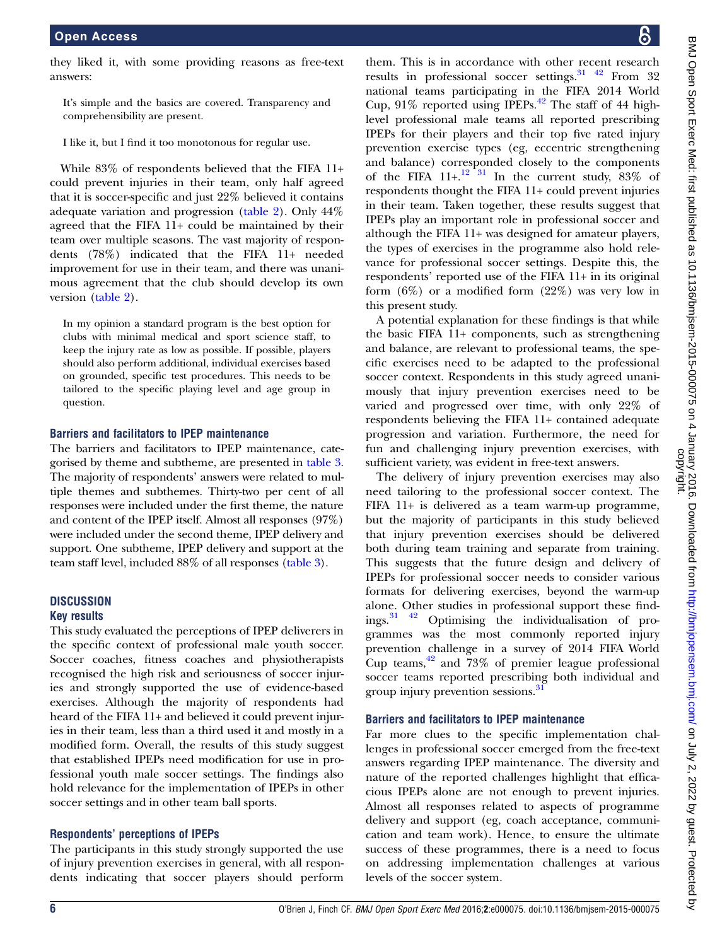they liked it, with some providing reasons as free-text answers:

It's simple and the basics are covered. Transparency and comprehensibility are present.

I like it, but I find it too monotonous for regular use.

While 83% of respondents believed that the FIFA 11+ could prevent injuries in their team, only half agreed that it is soccer-specific and just 22% believed it contains adequate variation and progression [\(table 2](#page-4-0)). Only 44% agreed that the FIFA 11+ could be maintained by their team over multiple seasons. The vast majority of respondents (78%) indicated that the FIFA 11+ needed improvement for use in their team, and there was unanimous agreement that the club should develop its own version ([table 2](#page-4-0)).

In my opinion a standard program is the best option for clubs with minimal medical and sport science staff, to keep the injury rate as low as possible. If possible, players should also perform additional, individual exercises based on grounded, specific test procedures. This needs to be tailored to the specific playing level and age group in question.

#### Barriers and facilitators to IPEP maintenance

The barriers and facilitators to IPEP maintenance, categorised by theme and subtheme, are presented in [table 3.](#page-6-0) The majority of respondents' answers were related to multiple themes and subthemes. Thirty-two per cent of all responses were included under the first theme, the nature and content of the IPEP itself. Almost all responses (97%) were included under the second theme, IPEP delivery and support. One subtheme, IPEP delivery and support at the team staff level, included 88% of all responses ([table 3\)](#page-6-0).

## **DISCUSSION**

### Key results

This study evaluated the perceptions of IPEP deliverers in the specific context of professional male youth soccer. Soccer coaches, fitness coaches and physiotherapists recognised the high risk and seriousness of soccer injuries and strongly supported the use of evidence-based exercises. Although the majority of respondents had heard of the FIFA 11+ and believed it could prevent injuries in their team, less than a third used it and mostly in a modified form. Overall, the results of this study suggest that established IPEPs need modification for use in professional youth male soccer settings. The findings also hold relevance for the implementation of IPEPs in other soccer settings and in other team ball sports.

#### Respondents' perceptions of IPEPs

The participants in this study strongly supported the use of injury prevention exercises in general, with all respondents indicating that soccer players should perform

them. This is in accordance with other recent research results in professional soccer settings.  $31 \frac{42}{12}$  From 32 national teams participating in the FIFA 2014 World Cup,  $91\%$  reported using IPEPs.<sup>[42](#page-8-0)</sup> The staff of 44 highlevel professional male teams all reported prescribing IPEPs for their players and their top five rated injury prevention exercise types (eg, eccentric strengthening and balance) corresponded closely to the components of the FIFA  $11+^{12}$  $11+^{12}$  $11+^{12}$  <sup>31</sup> In the current study, 83% of respondents thought the FIFA 11+ could prevent injuries in their team. Taken together, these results suggest that IPEPs play an important role in professional soccer and although the FIFA 11+ was designed for amateur players, the types of exercises in the programme also hold relevance for professional soccer settings. Despite this, the respondents' reported use of the FIFA 11+ in its original form  $(6\%)$  or a modified form  $(22\%)$  was very low in this present study.

A potential explanation for these findings is that while the basic FIFA 11+ components, such as strengthening and balance, are relevant to professional teams, the specific exercises need to be adapted to the professional soccer context. Respondents in this study agreed unanimously that injury prevention exercises need to be varied and progressed over time, with only 22% of respondents believing the FIFA 11+ contained adequate progression and variation. Furthermore, the need for fun and challenging injury prevention exercises, with sufficient variety, was evident in free-text answers.

The delivery of injury prevention exercises may also need tailoring to the professional soccer context. The FIFA 11+ is delivered as a team warm-up programme, but the majority of participants in this study believed that injury prevention exercises should be delivered both during team training and separate from training. This suggests that the future design and delivery of IPEPs for professional soccer needs to consider various formats for delivering exercises, beyond the warm-up alone. Other studies in professional support these findings.[31 42](#page-8-0) Optimising the individualisation of programmes was the most commonly reported injury prevention challenge in a survey of 2014 FIFA World Cup teams, $42$  and  $73\%$  of premier league professional soccer teams reported prescribing both individual and group injury prevention sessions.<sup>31</sup>

#### Barriers and facilitators to IPEP maintenance

Far more clues to the specific implementation challenges in professional soccer emerged from the free-text answers regarding IPEP maintenance. The diversity and nature of the reported challenges highlight that efficacious IPEPs alone are not enough to prevent injuries. Almost all responses related to aspects of programme delivery and support (eg, coach acceptance, communication and team work). Hence, to ensure the ultimate success of these programmes, there is a need to focus on addressing implementation challenges at various levels of the soccer system.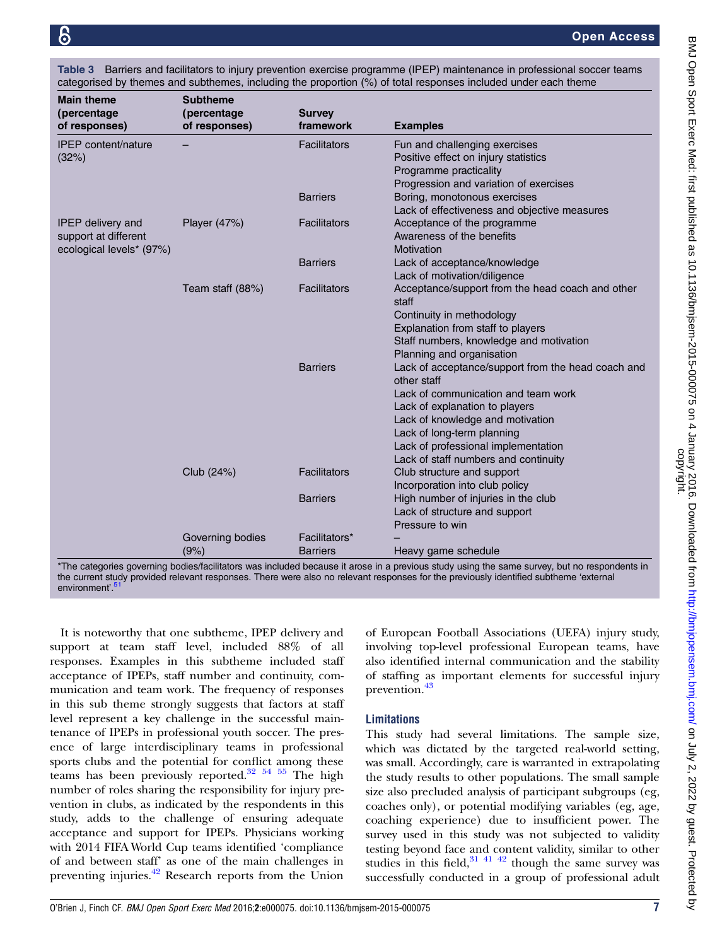<span id="page-6-0"></span>

#### Open Access

| <b>Main theme</b><br>(percentage)<br>of responses)                           | <b>Subtheme</b><br>(percentage)<br>of responses) | <b>Survey</b><br>framework | <b>Examples</b>                                                                                                                                                                                                                                                                             |
|------------------------------------------------------------------------------|--------------------------------------------------|----------------------------|---------------------------------------------------------------------------------------------------------------------------------------------------------------------------------------------------------------------------------------------------------------------------------------------|
| <b>IPEP</b> content/nature<br>(32%)                                          |                                                  | <b>Facilitators</b>        | Fun and challenging exercises<br>Positive effect on injury statistics<br>Programme practicality<br>Progression and variation of exercises                                                                                                                                                   |
|                                                                              |                                                  | <b>Barriers</b>            | Boring, monotonous exercises<br>Lack of effectiveness and objective measures                                                                                                                                                                                                                |
| <b>IPEP</b> delivery and<br>support at different<br>ecological levels* (97%) | Player (47%)                                     | <b>Facilitators</b>        | Acceptance of the programme<br>Awareness of the benefits<br>Motivation                                                                                                                                                                                                                      |
|                                                                              |                                                  | <b>Barriers</b>            | Lack of acceptance/knowledge<br>Lack of motivation/diligence                                                                                                                                                                                                                                |
|                                                                              | Team staff (88%)                                 | <b>Facilitators</b>        | Acceptance/support from the head coach and other<br>staff<br>Continuity in methodology<br>Explanation from staff to players<br>Staff numbers, knowledge and motivation<br>Planning and organisation                                                                                         |
|                                                                              |                                                  | <b>Barriers</b>            | Lack of acceptance/support from the head coach and<br>other staff<br>Lack of communication and team work<br>Lack of explanation to players<br>Lack of knowledge and motivation<br>Lack of long-term planning<br>Lack of professional implementation<br>Lack of staff numbers and continuity |
|                                                                              | Club (24%)                                       | Facilitators               | Club structure and support<br>Incorporation into club policy                                                                                                                                                                                                                                |
|                                                                              |                                                  | <b>Barriers</b>            | High number of injuries in the club<br>Lack of structure and support<br>Pressure to win                                                                                                                                                                                                     |
|                                                                              | Governing bodies                                 | Facilitators*              |                                                                                                                                                                                                                                                                                             |
|                                                                              | (9%)                                             | <b>Barriers</b>            | Heavy game schedule                                                                                                                                                                                                                                                                         |

\*The categories governing bodies/facilitators was included because it arose in a previous study using the same survey, but no respondents in the current study provided relevant responses. There were also no relevant responses for the previously identified subtheme 'external<br>environment' <sup>[51](#page-8-0)</sup> environment'.

It is noteworthy that one subtheme, IPEP delivery and support at team staff level, included 88% of all responses. Examples in this subtheme included staff acceptance of IPEPs, staff number and continuity, communication and team work. The frequency of responses in this sub theme strongly suggests that factors at staff level represent a key challenge in the successful maintenance of IPEPs in professional youth soccer. The presence of large interdisciplinary teams in professional sports clubs and the potential for conflict among these teams has been previously reported. $32\frac{54}{55}$  The high number of roles sharing the responsibility for injury prevention in clubs, as indicated by the respondents in this study, adds to the challenge of ensuring adequate acceptance and support for IPEPs. Physicians working with 2014 FIFA World Cup teams identified 'compliance of and between staff' as one of the main challenges in preventing injuries.<sup>42</sup> Research reports from the Union

of European Football Associations (UEFA) injury study, involving top-level professional European teams, have also identified internal communication and the stability of staffing as important elements for successful injury prevention.<sup>[43](#page-8-0)</sup>

#### Limitations

This study had several limitations. The sample size, which was dictated by the targeted real-world setting, was small. Accordingly, care is warranted in extrapolating the study results to other populations. The small sample size also precluded analysis of participant subgroups (eg, coaches only), or potential modifying variables (eg, age, coaching experience) due to insufficient power. The survey used in this study was not subjected to validity testing beyond face and content validity, similar to other studies in this field, $31 \frac{41}{42}$  though the same survey was successfully conducted in a group of professional adult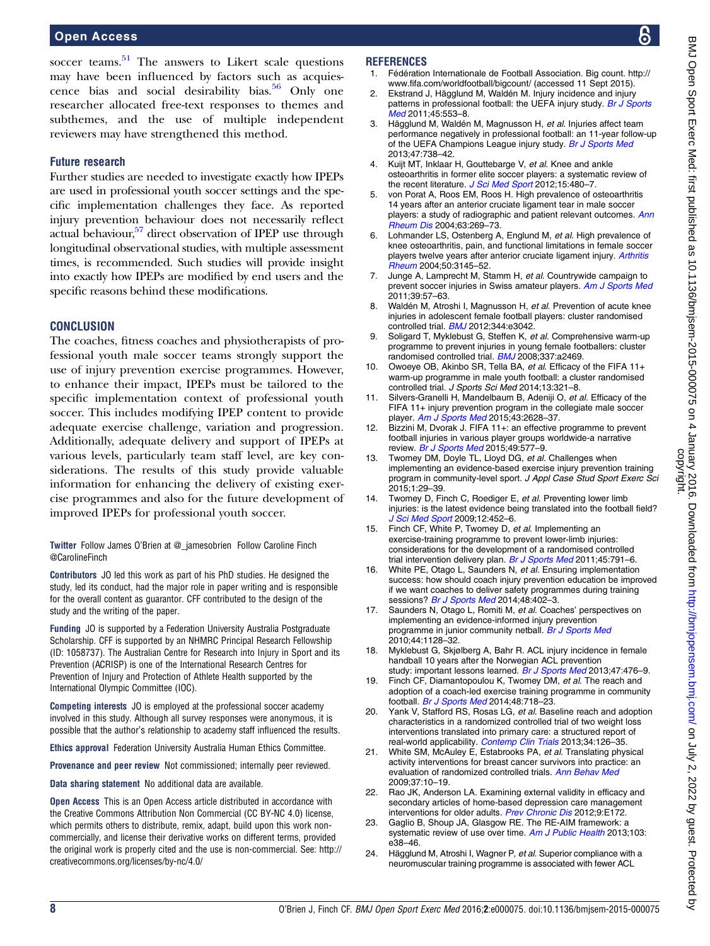<span id="page-7-0"></span>soccer teams. $51$  The answers to Likert scale questions may have been influenced by factors such as acquiescence bias and social desirability bias. $56$  Only one researcher allocated free-text responses to themes and subthemes, and the use of multiple independent reviewers may have strengthened this method.

#### Future research

Further studies are needed to investigate exactly how IPEPs are used in professional youth soccer settings and the specific implementation challenges they face. As reported injury prevention behaviour does not necessarily reflect actual behaviour,<sup>57</sup> direct observation of IPEP use through longitudinal observational studies, with multiple assessment times, is recommended. Such studies will provide insight into exactly how IPEPs are modified by end users and the specific reasons behind these modifications.

#### **CONCLUSION**

The coaches, fitness coaches and physiotherapists of professional youth male soccer teams strongly support the use of injury prevention exercise programmes. However, to enhance their impact, IPEPs must be tailored to the specific implementation context of professional youth soccer. This includes modifying IPEP content to provide adequate exercise challenge, variation and progression. Additionally, adequate delivery and support of IPEPs at various levels, particularly team staff level, are key considerations. The results of this study provide valuable information for enhancing the delivery of existing exercise programmes and also for the future development of improved IPEPs for professional youth soccer.

Twitter Follow James O'Brien at [@\\_jamesobrien](http://twitter.com/_jamesobrien) Follow Caroline Finch [@CarolineFinch](http://twitter.com/CarolineFinch)

Contributors JO led this work as part of his PhD studies. He designed the study, led its conduct, had the major role in paper writing and is responsible for the overall content as guarantor. CFF contributed to the design of the study and the writing of the paper.

Funding JO is supported by a Federation University Australia Postgraduate Scholarship. CFF is supported by an NHMRC Principal Research Fellowship (ID: 1058737). The Australian Centre for Research into Injury in Sport and its Prevention (ACRISP) is one of the International Research Centres for Prevention of Injury and Protection of Athlete Health supported by the International Olympic Committee (IOC).

Competing interests JO is employed at the professional soccer academy involved in this study. Although all survey responses were anonymous, it is possible that the author's relationship to academy staff influenced the results.

Ethics approval Federation University Australia Human Ethics Committee.

Provenance and peer review Not commissioned; internally peer reviewed.

Data sharing statement No additional data are available.

Open Access This is an Open Access article distributed in accordance with the Creative Commons Attribution Non Commercial (CC BY-NC 4.0) license, which permits others to distribute, remix, adapt, build upon this work noncommercially, and license their derivative works on different terms, provided the original work is properly cited and the use is non-commercial. See: [http://](http://creativecommons.org/licenses/by-nc/4.0/) [creativecommons.org/licenses/by-nc/4.0/](http://creativecommons.org/licenses/by-nc/4.0/)

#### **REFERENCES**

- 1. Fédération Internationale de Football Association. Big count. [http://](http://www.fifa.com/worldfootball/bigcount/) [www.fifa.com/worldfootball/bigcount/](http://www.fifa.com/worldfootball/bigcount/) (accessed 11 Sept 2015).
- 2. Ekstrand J, Hägglund M, Waldén M. Injury incidence and injury patterns in professional football: the UEFA injury study. [Br J Sports](http://dx.doi.org/10.1136/bjsm.2009.060582) [Med](http://dx.doi.org/10.1136/bjsm.2009.060582) 2011;45:553-8.
- Hägglund M, Waldén M, Magnusson H, et al. Injuries affect team performance negatively in professional football: an 11-year follow-up of the UEFA Champions League injury study. [Br J Sports Med](http://dx.doi.org/10.1136/bjsports-2013-092215) 2013;47:738–42.
- 4. Kuijt MT, Inklaar H, Gouttebarge V, et al. Knee and ankle osteoarthritis in former elite soccer players: a systematic review of the recent literature. [J Sci Med Sport](http://dx.doi.org/10.1016/j.jsams.2012.02.008) 2012;15:480-7.
- von Porat A, Roos EM, Roos H. High prevalence of osteoarthritis 14 years after an anterior cruciate ligament tear in male soccer players: a study of radiographic and patient relevant outcomes. [Ann](http://dx.doi.org/10.1136/ard.2003.008136) [Rheum Dis](http://dx.doi.org/10.1136/ard.2003.008136) 2004;63:269–73.
- 6. Lohmander LS, Ostenberg A, Englund M, et al. High prevalence of knee osteoarthritis, pain, and functional limitations in female soccer players twelve years after anterior cruciate ligament injury. [Arthritis](http://dx.doi.org/10.1002/art.20589) [Rheum](http://dx.doi.org/10.1002/art.20589) 2004;50:3145–52.
- 7. Junge A, Lamprecht M, Stamm H, et al. Countrywide campaign to prevent soccer injuries in Swiss amateur players. [Am J Sports Med](http://dx.doi.org/10.1177/0363546510377424) 2011;39:57–63.
- Waldén M, Atroshi I, Magnusson H, et al. Prevention of acute knee injuries in adolescent female football players: cluster randomised controlled trial. [BMJ](http://dx.doi.org/10.1136/bmj.e3042) 2012;344:e3042.
- 9. Soligard T, Myklebust G, Steffen K, et al. Comprehensive warm-up programme to prevent injuries in young female footballers: cluster randomised controlled trial. **[BMJ](http://dx.doi.org/10.1136/bmj.a2469)** 2008;337:a2469.
- 10. Owoeye OB, Akinbo SR, Tella BA, et al. Efficacy of the FIFA 11+ warm-up programme in male youth football: a cluster randomised controlled trial. J Sports Sci Med 2014;13:321–8.
- 11. Silvers-Granelli H, Mandelbaum B, Adeniji O, et al. Efficacy of the FIFA 11+ injury prevention program in the collegiate male soccer player. [Am J Sports Med](http://dx.doi.org/10.1177/0363546515602009) 2015;43:2628-37.
- 12. Bizzini M, Dvorak J. FIFA 11+: an effective programme to prevent football injuries in various player groups worldwide-a narrative review. [Br J Sports Med](http://dx.doi.org/10.1136/bjsports-2015-094765) 2015;49:577-9.
- 13. Twomey DM, Doyle TL, Lloyd DG, et al. Challenges when implementing an evidence-based exercise injury prevention training program in community-level sport. J Appl Case Stud Sport Exerc Sci 2015;1:29–39.
- 14. Twomey D, Finch C, Roediger E, et al. Preventing lower limb injuries: is the latest evidence being translated into the football field? [J Sci Med Sport](http://dx.doi.org/10.1016/j.jsams.2008.04.002) 2009;12:452–6.
- 15. Finch CF, White P, Twomey D, et al. Implementing an exercise-training programme to prevent lower-limb injuries: considerations for the development of a randomised controlled trial intervention delivery plan. [Br J Sports Med](http://dx.doi.org/10.1136/bjsm.2010.081406) 2011;45:791-6.
- 16. White PE, Otago L, Saunders N, et al. Ensuring implementation success: how should coach injury prevention education be improved if we want coaches to deliver safety programmes during training sessions? *[Br J Sports Med](http://dx.doi.org/10.1136/bjsports-2012-091987)* 2014;48:402-3.
- 17. Saunders N, Otago L, Romiti M, et al. Coaches' perspectives on implementing an evidence-informed injury prevention programme in junior community netball. [Br J Sports Med](http://dx.doi.org/10.1136/bjsm.2009.069039) 2010;44:1128–32.
- 18. Myklebust G, Skjølberg A, Bahr R. ACL injury incidence in female handball 10 years after the Norwegian ACL prevention study: important lessons learned. [Br J Sports Med](http://dx.doi.org/10.1136/bjsports-2012-091862) 2013;47:476-9.
- 19. Finch CF, Diamantopoulou K, Twomey DM, et al. The reach and adoption of a coach-led exercise training programme in community football. [Br J Sports Med](http://dx.doi.org/10.1136/bjsports-2012-091797) 2014;48:718–23.
- 20. Yank V, Stafford RS, Rosas LG, et al. Baseline reach and adoption characteristics in a randomized controlled trial of two weight loss interventions translated into primary care: a structured report of real-world applicability. [Contemp Clin Trials](http://dx.doi.org/10.1016/j.cct.2012.10.007) 2013;34:126-35.
- 21. White SM, McAuley E, Estabrooks PA, et al. Translating physical activity interventions for breast cancer survivors into practice: an evaluation of randomized controlled trials. [Ann Behav Med](http://dx.doi.org/10.1007/s12160-009-9084-9) 2009;37:10–19.
- 22. Rao JK, Anderson LA. Examining external validity in efficacy and secondary articles of home-based depression care management interventions for older adults. [Prev Chronic Dis](http://dx.doi.org/10.5888/pcd9.120110) 2012;9:E172.
- 23. Gaglio B, Shoup JA, Glasgow RE. The RE-AIM framework: a systematic review of use over time. [Am J Public Health](http://dx.doi.org/10.2105/AJPH.2013.301299) 2013;103: e38–46.
- 24. Hägglund M, Atroshi I, Wagner P, et al. Superior compliance with a neuromuscular training programme is associated with fewer ACL